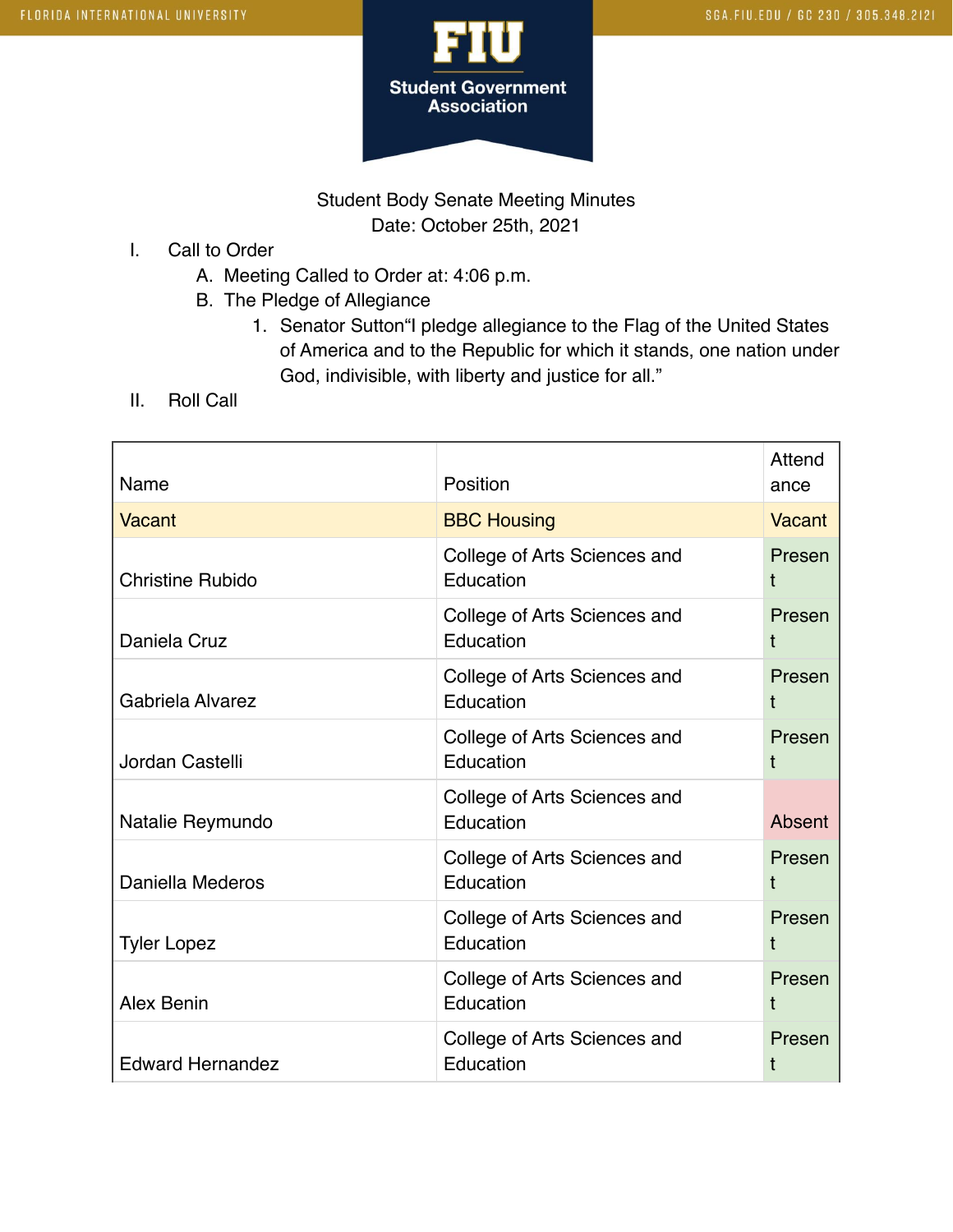

## Student Body Senate Meeting Minutes Date: October 25th, 2021

- I. Call to Order
	- A. Meeting Called to Order at: 4:06 p.m.
	- B. The Pledge of Allegiance
		- 1. Senator Sutton"I pledge allegiance to the Flag of the United States of America and to the Republic for which it stands, one nation under God, indivisible, with liberty and justice for all."
- II. Roll Call

| Name                    | Position                                  | Attend<br>ance |
|-------------------------|-------------------------------------------|----------------|
| <b>Vacant</b>           | <b>BBC Housing</b>                        | Vacant         |
| <b>Christine Rubido</b> | College of Arts Sciences and<br>Education | Presen<br>t    |
| Daniela Cruz            | College of Arts Sciences and<br>Education | Presen<br>Ť    |
| Gabriela Alvarez        | College of Arts Sciences and<br>Education | Presen<br>t    |
| Jordan Castelli         | College of Arts Sciences and<br>Education | Presen<br>t    |
| Natalie Reymundo        | College of Arts Sciences and<br>Education | Absent         |
| Daniella Mederos        | College of Arts Sciences and<br>Education | Presen<br>t    |
| <b>Tyler Lopez</b>      | College of Arts Sciences and<br>Education | Presen<br>t    |
| Alex Benin              | College of Arts Sciences and<br>Education | Presen<br>t    |
| <b>Edward Hernandez</b> | College of Arts Sciences and<br>Education | Presen<br>t    |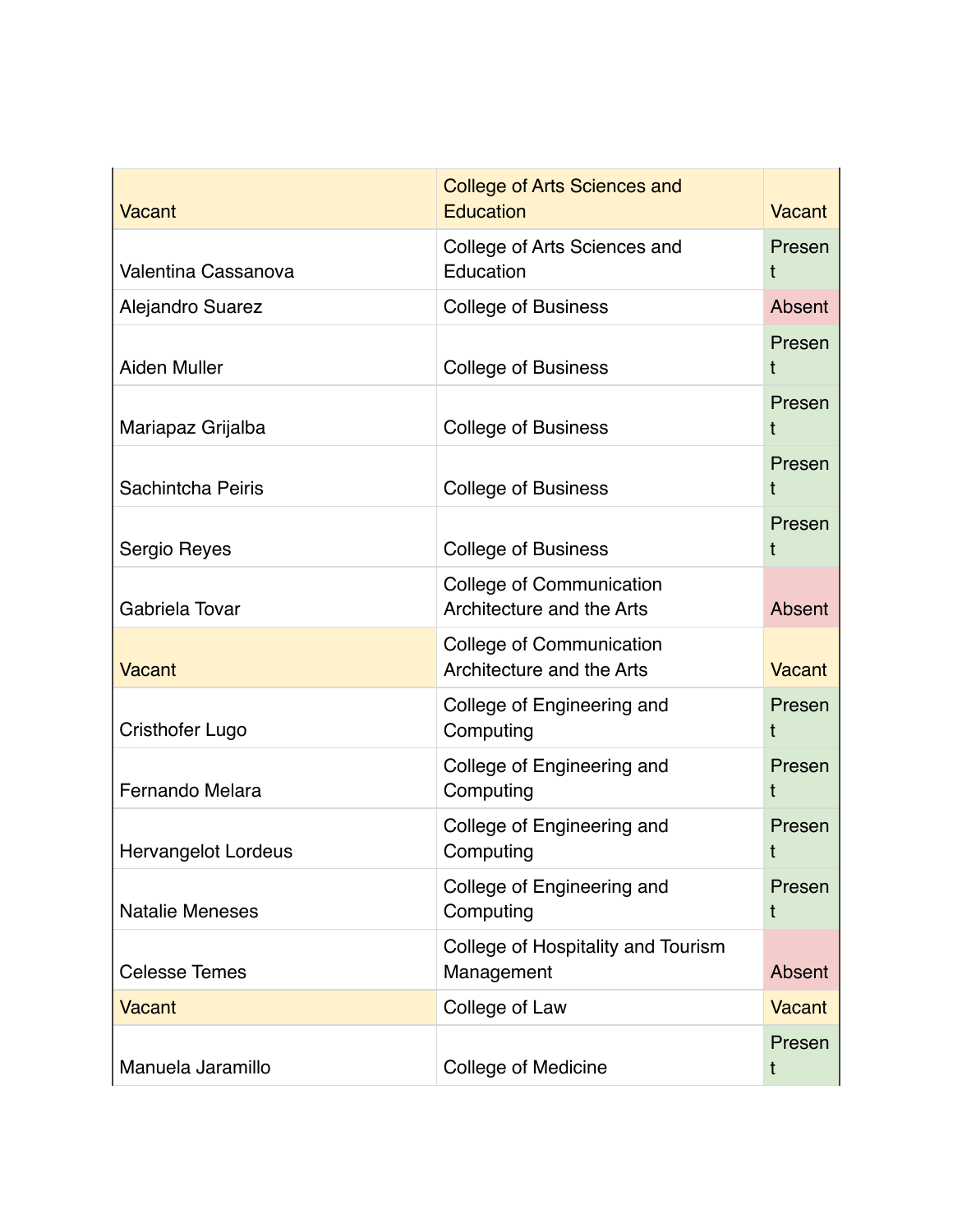| <b>Vacant</b>              | <b>College of Arts Sciences and</b><br><b>Education</b>      | Vacant        |
|----------------------------|--------------------------------------------------------------|---------------|
| Valentina Cassanova        | College of Arts Sciences and<br>Education                    | Presen        |
| Alejandro Suarez           | <b>College of Business</b>                                   | Absent        |
| <b>Aiden Muller</b>        | <b>College of Business</b>                                   | Presen<br>t   |
| Mariapaz Grijalba          | <b>College of Business</b>                                   | Presen<br>t   |
| Sachintcha Peiris          | <b>College of Business</b>                                   | Presen<br>t   |
| Sergio Reyes               | <b>College of Business</b>                                   | Presen<br>t   |
| Gabriela Tovar             | <b>College of Communication</b><br>Architecture and the Arts | Absent        |
| <b>Vacant</b>              | College of Communication<br>Architecture and the Arts        | Vacant        |
| <b>Cristhofer Lugo</b>     | College of Engineering and<br>Computing                      | Presen<br>t   |
| Fernando Melara            | College of Engineering and<br>Computing                      | Presen<br>t   |
| <b>Hervangelot Lordeus</b> | College of Engineering and<br>Computing                      | Presen<br>t   |
| <b>Natalie Meneses</b>     | College of Engineering and<br>Computing                      | Presen<br>t   |
| <b>Celesse Temes</b>       | College of Hospitality and Tourism<br>Management             | Absent        |
| <b>Vacant</b>              | College of Law                                               | <b>Vacant</b> |
| Manuela Jaramillo          | College of Medicine                                          | Presen<br>t   |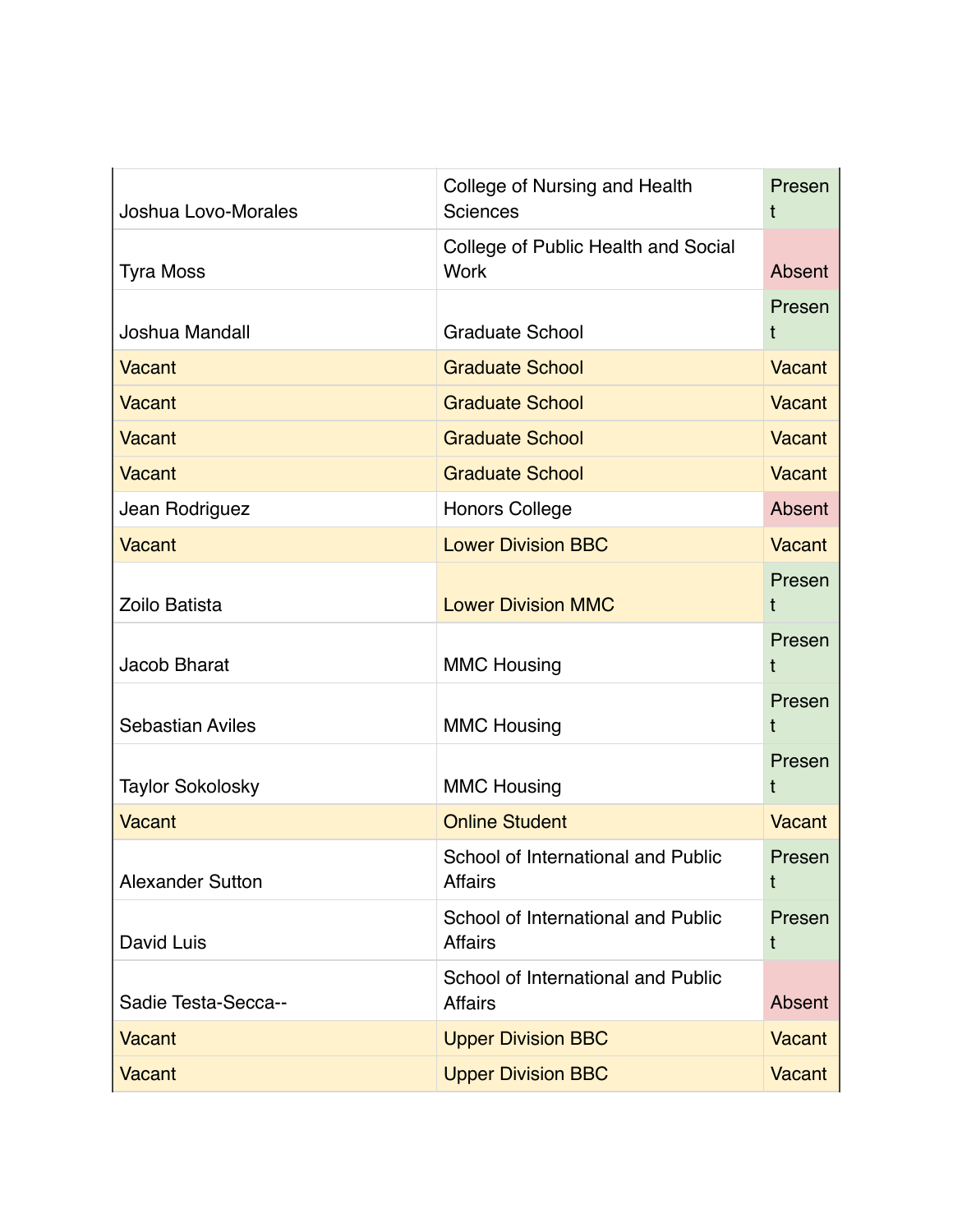| Joshua Lovo-Morales     | College of Nursing and Health<br><b>Sciences</b>     | Presen<br>t   |
|-------------------------|------------------------------------------------------|---------------|
| <b>Tyra Moss</b>        | College of Public Health and Social<br><b>Work</b>   | Absent        |
| Joshua Mandall          | <b>Graduate School</b>                               | Presen<br>t   |
| <b>Vacant</b>           | <b>Graduate School</b>                               | Vacant        |
| <b>Vacant</b>           | <b>Graduate School</b>                               | <b>Vacant</b> |
| Vacant                  | <b>Graduate School</b>                               | <b>Vacant</b> |
| <b>Vacant</b>           | <b>Graduate School</b>                               | Vacant        |
| Jean Rodriguez          | <b>Honors College</b>                                | Absent        |
| <b>Vacant</b>           | <b>Lower Division BBC</b>                            | <b>Vacant</b> |
| Zoilo Batista           | <b>Lower Division MMC</b>                            | Presen<br>t   |
| <b>Jacob Bharat</b>     | <b>MMC Housing</b>                                   | Presen<br>t   |
| Sebastian Aviles        | <b>MMC Housing</b>                                   | Presen<br>t   |
| <b>Taylor Sokolosky</b> | <b>MMC Housing</b>                                   | Presen<br>t   |
| <b>Vacant</b>           | <b>Online Student</b>                                | Vacant        |
| <b>Alexander Sutton</b> | School of International and Public<br><b>Affairs</b> | Presen<br>t   |
| David Luis              | School of International and Public<br><b>Affairs</b> | Presen<br>t   |
| Sadie Testa-Secca--     | School of International and Public<br><b>Affairs</b> | Absent        |
| Vacant                  | <b>Upper Division BBC</b>                            | <b>Vacant</b> |
| Vacant                  | <b>Upper Division BBC</b>                            | <b>Vacant</b> |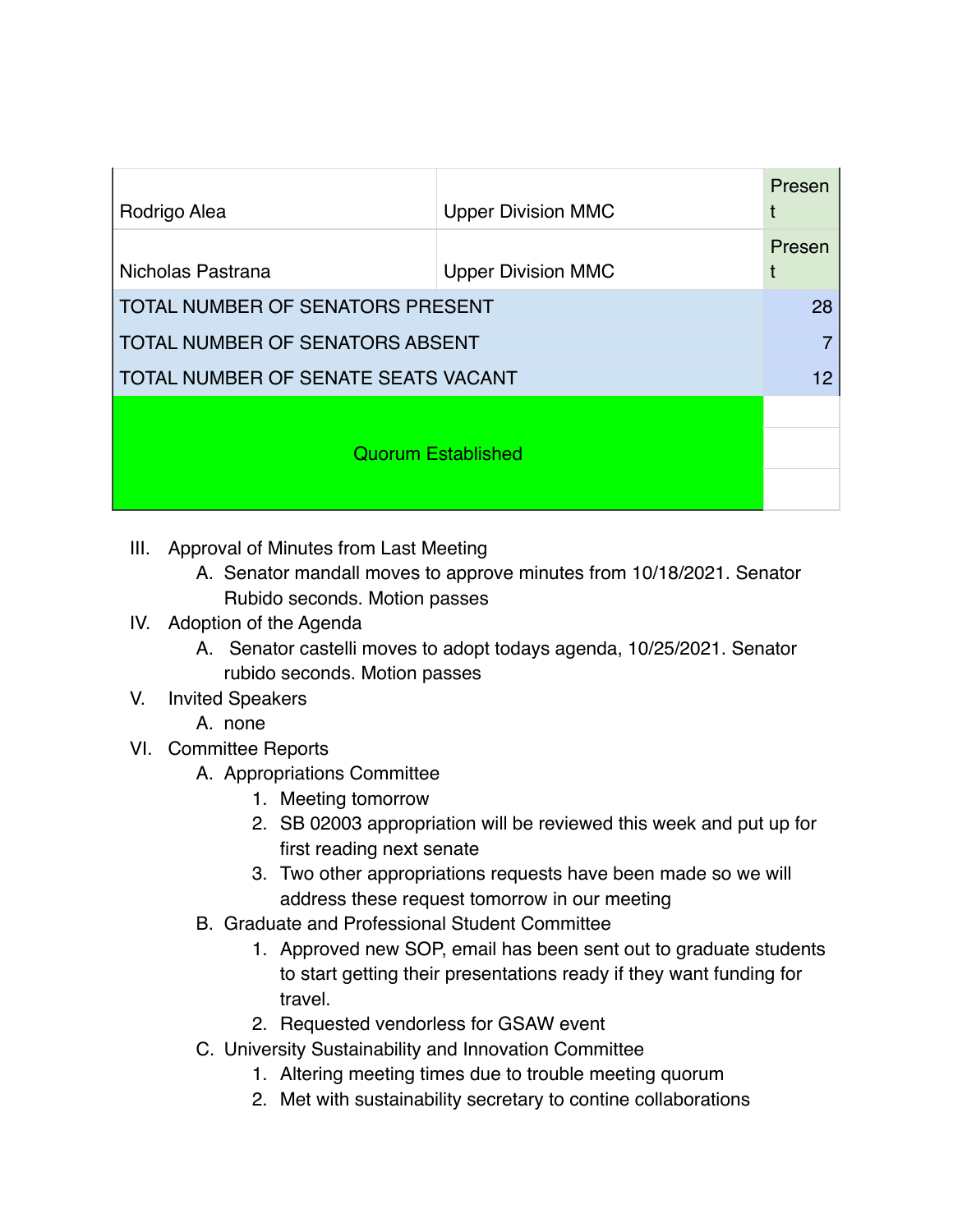| Rodrigo Alea                               | <b>Upper Division MMC</b> | Presen<br>t |
|--------------------------------------------|---------------------------|-------------|
| Nicholas Pastrana                          | <b>Upper Division MMC</b> | Presen      |
| <b>TOTAL NUMBER OF SENATORS PRESENT</b>    |                           | 28          |
| <b>TOTAL NUMBER OF SENATORS ABSENT</b>     |                           |             |
| <b>TOTAL NUMBER OF SENATE SEATS VACANT</b> |                           |             |
| <b>Quorum Established</b>                  |                           |             |

- III. Approval of Minutes from Last Meeting
	- A. Senator mandall moves to approve minutes from 10/18/2021. Senator Rubido seconds. Motion passes

## IV. Adoption of the Agenda

- A. Senator castelli moves to adopt todays agenda, 10/25/2021. Senator rubido seconds. Motion passes
- V. Invited Speakers
	- A. none
- VI. Committee Reports
	- A. Appropriations Committee
		- 1. Meeting tomorrow
		- 2. SB 02003 appropriation will be reviewed this week and put up for first reading next senate
		- 3. Two other appropriations requests have been made so we will address these request tomorrow in our meeting
	- B. Graduate and Professional Student Committee
		- 1. Approved new SOP, email has been sent out to graduate students to start getting their presentations ready if they want funding for travel.
		- 2. Requested vendorless for GSAW event
	- C. University Sustainability and Innovation Committee
		- 1. Altering meeting times due to trouble meeting quorum
		- 2. Met with sustainability secretary to contine collaborations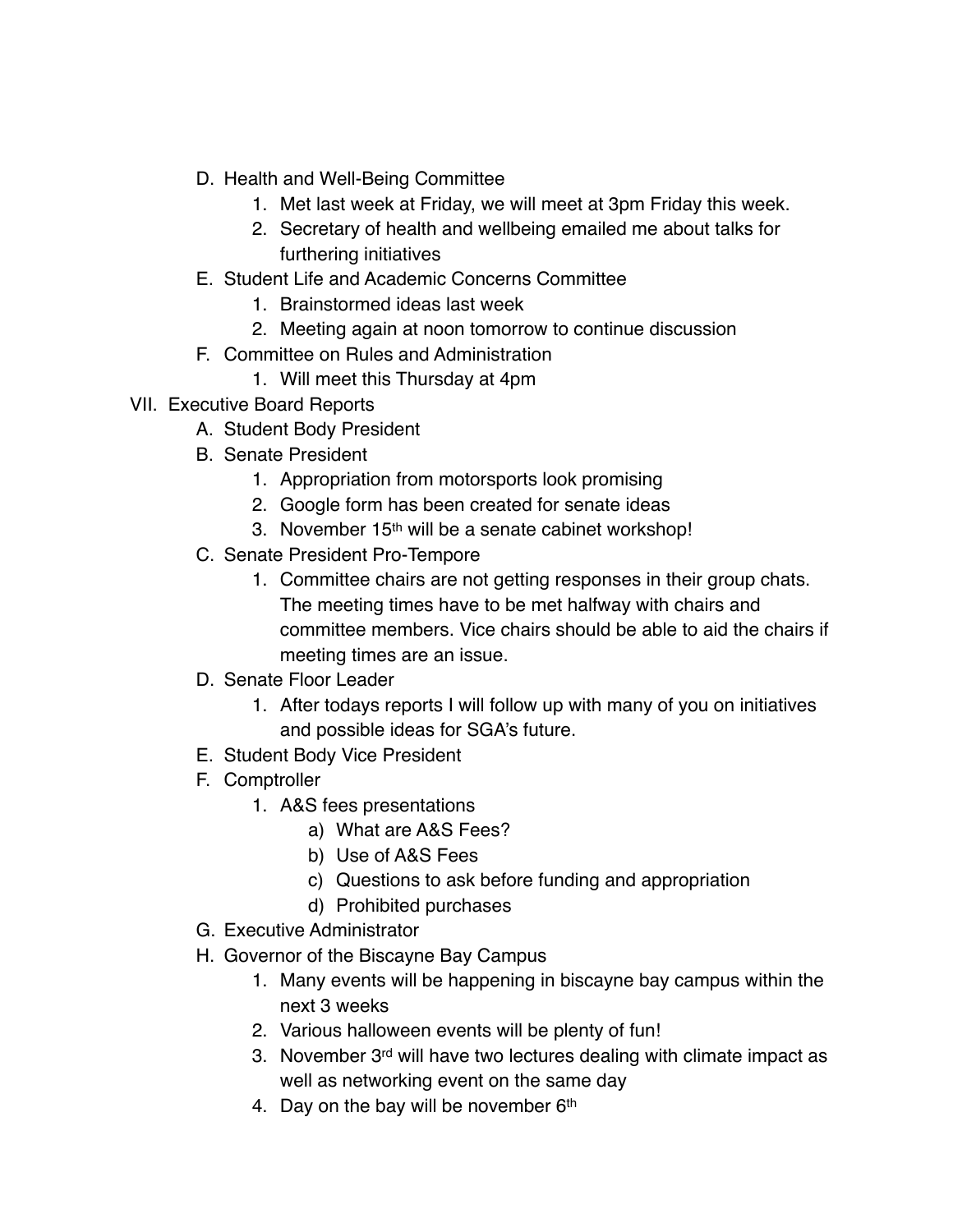- D. Health and Well-Being Committee
	- 1. Met last week at Friday, we will meet at 3pm Friday this week.
	- 2. Secretary of health and wellbeing emailed me about talks for furthering initiatives
- E. Student Life and Academic Concerns Committee
	- 1. Brainstormed ideas last week
	- 2. Meeting again at noon tomorrow to continue discussion
- F. Committee on Rules and Administration
	- 1. Will meet this Thursday at 4pm
- VII. Executive Board Reports
	- A. Student Body President
	- B. Senate President
		- 1. Appropriation from motorsports look promising
		- 2. Google form has been created for senate ideas
		- 3. November 15<sup>th</sup> will be a senate cabinet workshop!
	- C. Senate President Pro-Tempore
		- 1. Committee chairs are not getting responses in their group chats. The meeting times have to be met halfway with chairs and committee members. Vice chairs should be able to aid the chairs if meeting times are an issue.
	- D. Senate Floor Leader
		- 1. After todays reports I will follow up with many of you on initiatives and possible ideas for SGA's future.
	- E. Student Body Vice President
	- F. Comptroller
		- 1. A&S fees presentations
			- a) What are A&S Fees?
			- b) Use of A&S Fees
			- c) Questions to ask before funding and appropriation
			- d) Prohibited purchases
	- G. Executive Administrator
	- H. Governor of the Biscayne Bay Campus
		- 1. Many events will be happening in biscayne bay campus within the next 3 weeks
		- 2. Various halloween events will be plenty of fun!
		- 3. November 3<sup>rd</sup> will have two lectures dealing with climate impact as well as networking event on the same day
		- 4. Day on the bay will be november 6th